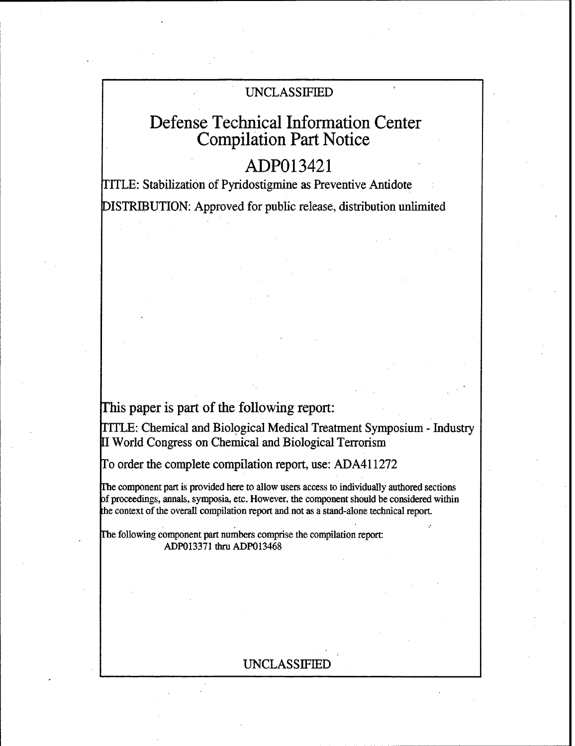## UNCLASSIFIED

# Defense Technical Information Center Compilation Part Notice

# ADP013421

I'ITLE: Stabilization of Pyridostigmine as Preventive Antidote DISTRIBUTION: Approved for public release, distribution unlimited

This paper is part of the following report:

TITLE: Chemical and Biological Medical Treatment Symposium - Industry World Congress on Chemical and Biological Terrorism

To order the complete compilation report, use: ADA411272

The component part is provided here to allow users access to individually authored sections of proceedings, annals, symposia, etc. However, the component should be considered within the context of the overall compilation report and not as a stand-alone technical report.

The following component part numbers comprise the compilation report: ADP013371 thru ADP013468

## UNCLASSIFIED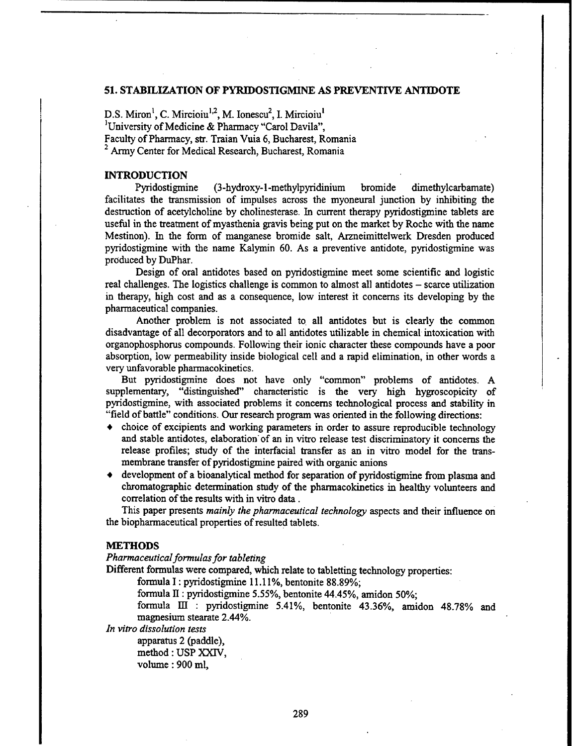#### **51. STABILIZATION** OF PYRIDOSTIGMINE **AS** PREVENTIVE **ANTIDOTE**

D.S. Miron<sup>1</sup>, C. Mircioiu<sup>1,2</sup>, M. Ionescu<sup>2</sup>, I. Mircioiu<sup>1</sup> 'University of Medicine & Pharmacy "Carol Davila", Faculty of Pharmacy, str. Traian Vuia 6, Bucharest, Romania <sup>2</sup> Army Center for Medical Research, Bucharest, Romania

### **INTRODUCTION**

Pyridostigmine (3-hydroxy-l-methylpyridinium bromide dimethylcarbamate) facilitates the transmission of impulses across the myoneural junction by inhibiting the destruction of acetylcholine by cholinesterase. In current therapy pyridostigmine tablets are useful in the treatment of myasthenia gravis being put on the market by Roche with the name Mestinon). In the form of manganese bromide salt, Arzneimittelwerk Dresden produced pyridostigmine with the name Kalymin 60. As a preventive antidote, pyridostigmine was produced by DuPhar.

Design of oral antidotes based on pyridostigmine meet some scientific and logistic real challenges. The logistics challenge is common to almost all antidotes – scarce utilization in therapy, high cost and as a consequence, low interest it concerns its developing by the pharmaceutical companies.

Another problem is not associated to all antidotes but is clearly the common disadvantage of all decorporators and to all antidotes utilizable in chemical intoxication with organophosphorus compounds. Following their ionic character these compounds have a poor absorption, low permeability inside biological cell and a rapid elimination, in other words a very unfavorable pharmacokinetics.

But pyridostigmine does not have only "common" problems of antidotes. A supplementary, "distinguished" characteristic is the very high hygroscopicity of pyridostigmine, with associated problems it concerns technological process and stability in "field of battle" conditions. Our research program was oriented in the following directions:

- **+** choice of excipients and working parameters in order to assure reproducible technology and stable antidotes, elaboration of an in vitro release test discriminatory it concerns the release profiles; study of the interfacial transfer as an in vitro model for the transmembrane transfer of pyridostigmine paired with organic anions
- development of a bioanalytical method for separation of pyridostigmine from plasma and chromatographic determination study of the pharmacokinetics in healthy volunteers and correlation of the results with in vitro data.

This paper presents *mainly the pharmaceutical technology* aspects and their influence on the biopharmaceutical properties of resulted tablets.

#### **METHODS**

*Pharmaceutical formulas for tableting*

Different formulas were compared, which relate to tabletting technology properties:

formula I: pyridostigmine 11.11%, bentonite 88.89%;

formula II : pyridostigmine 5.55%, bentonite 44.45%, amidon 50%;

formula III : pyridostigmine 5.41%, bentonite 43.36%, amidon 48.78% and magnesium stearate 2.44%.

*In vitro dissolution tests*

apparatus 2 (paddle), method : USP XXIV, volume : 900 ml,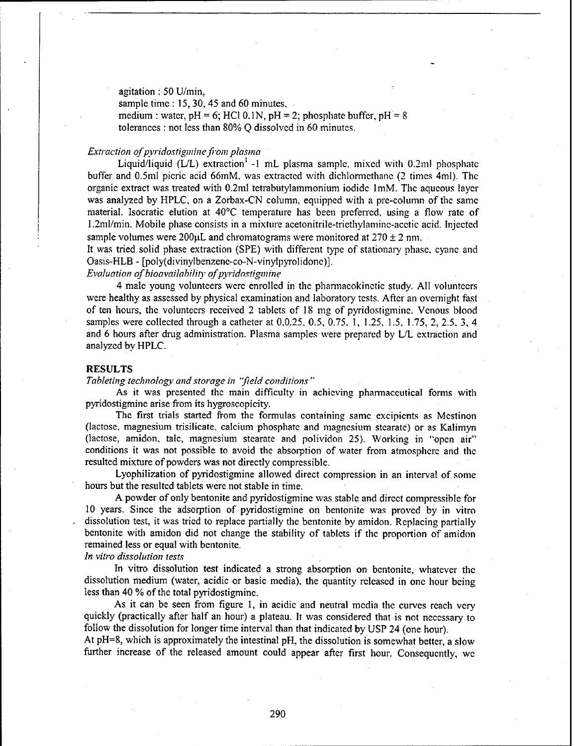agitation : 50 U/min, sample time: 15, 30, 45 and 60 minutes, medium : water,  $pH = 6$ ; HCl 0.1N,  $pH = 2$ ; phosphate buffer,  $pH = 8$ tolerances : not less than 80% Q dissolved in 60 minutes.

#### *Extraction of pyridostigmine from plasma*

Liquid/liquid (L/L) extraction' **-1** mL plasma sample, mixed with 0.2m1 phosphate buffer and 0.5ml picric acid 66mM, was extracted with dichlormethane (2 times 4ml). The organic extract was treated with 0.2ml tetrabutylammonium iodide imM. The aqueous layer was analyzed by HPLC, on a Zorbax-CN column, equipped with a pre-column of the same material. Isocratic elution at 40'C temperature has been preferred, using a flow rate of 1.2ml/min. Mobile phase consists in a mixture acetonitrile-triethvlamine-acctic acid. Injected sample volumes were  $200\mu$ L and chromatograms were monitored at  $270 \pm 2$  nm.

It was tried solid phase extraction (SPE) with different type of stationary phase, cyanc and Oasis-HLB - [poly(divinylbcnzene-co-N-vinylpyrolidone)].

*Evaluation of bioavailabiliv of pyridostigmine*

4 male young volunteers were enrolled in the pharmacokinetic study. All volunteers were healthy as assessed by physical examination and laboratory tests. After an overnight fast of ten hours, the volunteers received 2 tablets of 18 mg of pyridostigmine. Venous blood samples were collected through a catheter at 0,0.25, 0.5, 0.75. 1, 1.25, 1.5, 1.75, 2, 2.5. 3, 4 and 6 hours after drug administration. Plasma samples were prepared by L/L extraction and analyzed by HPLC.

#### **RESULTS**

*Tableting technology and storage in 'field conditions*

As it was presented the main difficulty in achieving pharmaceutical forms with pyridostigmine arise from its hygroscopicity.

The first trials started from the formulas containing same excipients as Mestinon (lactose, magnesium trisilicate, calcium phosphate and magnesium stearatc) or as Kalimyn (lactose, amidon, talc, magnesium stearate and polividon 25). Working in "open air" conditions it was not possible to avoid the absorption of water from atmosphere and the resulted mixture of powders was not directly compressible.

Lyophilization of pyridostigmine allowed direct compression in an interval of some hours but the resulted tablets were not stable in time.

A powder of only bentonite and pyridostigmine was stable and direct compressible for **10** years. Since the adsorption of pyridostigmine on bentonite was proved by in vitro dissolution test, it was tried to replace partially the bentonite by amidon. Replacing partially bentonite with amidon did not change the stability of tablets if the proportion of amidon remained less or equal with bentonite.

*In vitro dissolution tests*

In vitro dissolution test indicated a strong absorption on bentonite, whatever the dissolution medium (water, acidic or basic media), the quantity released in one hour being less than 40 % of the total pyridostigmine.

As it can be seen from figure 1, in acidic and neutral media the curves reach very quickly (practically after half an hour) a plateau. It was considered that is not necessary to follow the dissolution for longer time interval than that indicated by USP 24 (one hour).

At pH=8, which is approximately the intestinal pH, the dissolution is somewhat better, a slow further increase of the released amount could appear after first hour. Consequently, we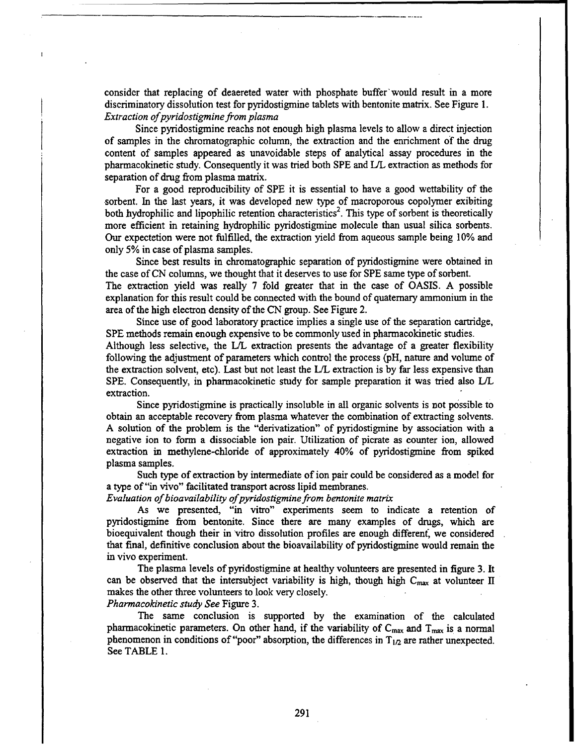consider that replacing of deaereted water with phosphate buffer' would result in a more discriminatory dissolution test for pyridostigmine tablets with bentonite matrix. See Figure 1. *Extraction ofpyridostigmine from plasma*

Since pyridostigmine reachs not enough high plasma levels to allow a direct injection of samples in the chromatographic column, the extraction and the enrichment of the drug content of samples appeared as unavoidable steps of analytical assay procedures in the pharmacokinetic study. Consequently it was tried both SPE and IJL extraction as methods for separation of drug from plasma matrix.

For a good reproducibility of SPE it is essential to have a good wettability of the sorbent. In the last years, it was developed new type of macroporous copolymer exibiting both hydrophilic and lipophilic retention characteristics<sup>2</sup>. This type of sorbent is theoretically more efficient in retaining hydrophilic pyridostigmine molecule than usual silica sorbents. Our expectetion were not fulfilled, the extraction yield from aqueous sample being 10% and only 5% in case of plasma samples.

Since best results in chromatographic separation of pyridostigrnine were obtained in the case of CN columns, we thought that it deserves to use for SPE same type of sorbent. The extraction yield was really 7 fold greater that in the case of OASIS. A possible explanation for this result could be connected with the bound of quaternary ammonium in the area of the high electron density of the CN group. See Figure 2.

Since use of good laboratory practice implies a single use of the separation cartridge, SPE methods remain enough expensive to be commonly used in pharmacokinetic studies. Although less selective, the L/L extraction presents the advantage of a greater flexibility following the adjustment of parameters which control the process (pH, nature and volume of the extraction solvent, etc). Last but not least the L/L extraction is by far less expensive than SPE. Consequently, in pharmacokinetic study for sample preparation it was tried also L/L extraction.

Since pyridostigmine is practically insoluble in all organic solvents is not possible to obtain an acceptable recovery from plasma whatever the combination of extracting solvents. A solution of the problem is the "derivatization" of pyridostigmine by association with a negative ion to form a dissociable ion pair. Utilization of picrate as counter ion, allowed extraction in methylene-chloride of approximately 40% of pyridostigmine from spiked plasma samples.

Such type of extraction by intermediate of ion pair could be considered as a model for a type of"in vivo" facilitated transport across lipid membranes.

*Evaluation of bioavailability ofpyridostigmine from bentonite matrix*

As we presented, "in vitro" experiments seem to indicate a retention of pyridostigmine from bentonite. Since there are many examples of drugs, which are bioequivalent though their in vitro dissolution profiles are enough different, we considered that final, definitive conclusion about the bioavailability of pyridostigmine would remain the in vivo experiment.

The plasma levels of pyridostigmine at healthy volunteers are presented in figure 3. It can be observed that the intersubject variability is high, though high  $C_{\text{max}}$  at volunteer II makes the other three volunteers to look very closely. *Pharmacokinetic study See* Figure 3.

The same conclusion is supported by the examination of the calculated pharmacokinetic parameters. On other hand, if the variability of  $C_{\text{max}}$  and  $T_{\text{max}}$  is a normal phenomenon in conditions of "poor" absorption, the differences in  $T_{1/2}$  are rather unexpected. See TABLE 1.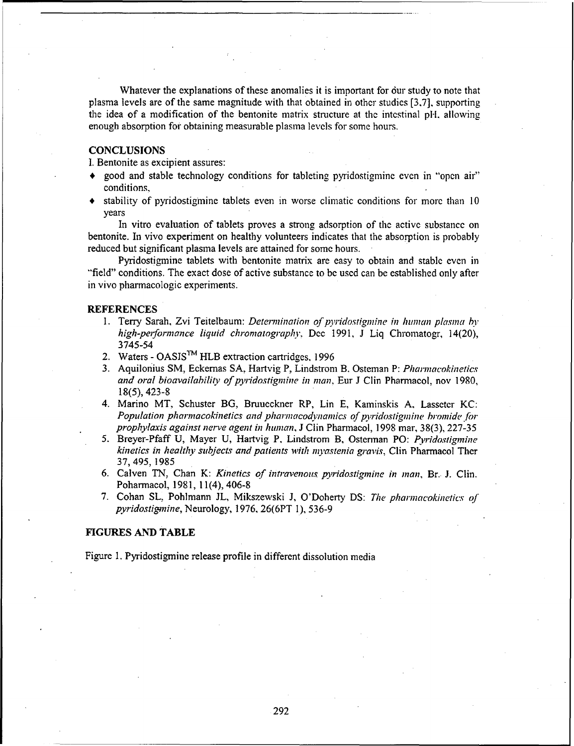Whatever the explanations of these anomalies it is important for our study to note that plasma levels are of the same magnitude with that obtained in other studies [3,7], supporting the idea of a modification of the bentonite matrix structure at the intestinal pH, allowing enough absorption for obtaining measurable plasma levels for some hours.

### **CONCLUSIONS**

**1.** Bentonite as excipient assures:

- **\*** good and stable technology conditions for tableting pyridostigmine even in "open air" conditions,
- stability of pyridostigmine tablets even in worse climatic conditions for more than 10 years

In vitro evaluation of tablets proves a strong adsorption of the active substance on bentonite. In vivo experiment on healthy volunteers indicates that the absorption is probably reduced but significant plasma levels are attained for some hours.

Pyridostigmine tablets with bentonite matrix are easy to obtain and stable even in "field" conditions. The exact dose of active substance to be used can be established only after in vivo pharmacologic experiments.

#### **REFERENCES**

- 1. Terry Sarah, Zvi Teitelbaum: *Determination of pyridostigmine in human plasma by high-peiformance liquid chromatography,* Dec 1991, **J** Liq Chromatogr, 14(20), 3745-54
- 2. Waters OASIS<sup>TM</sup> HLB extraction cartridges, 1996
- 3. Aquilonius SM, Eckemas **SA,** Hartvig P, Lindstrom B. Osteman P: *Pharmnacokinetics and oral bioavailahility of pyridostigmine in man,* Eur J Clin Pharnmacol, nov 1980, 18(5), 423-8
- 4. Marino MT., Schuster BG, Bruucckner RP, Lin E, Kaminskis **A,** Lasseter KC: *Population pharmacokinetics and pharmacodynamics of pyridostigmine bromide for prophylaxis against nerve agent in human,* J Clin Phanrmacol, 1998 mar, 38(3), 227-35
- *5.* Breyer-Pfaff U, Mayer U, Hartvig P, Lindstrom B, Osterman PO: *Pyridostigmine kinetics in healthy subjects and patients with inyastenia gi-avis,* Clin Pharmacol Ther 37, 495, 1985
- 6. Calven TN, Chan K: *Kinetics of intravenous pyridostigmnine in man,* Br. J. Clin. Poharmacol, 1981, 11(4), 406-8
- 7. Cohan SL, Pohlmann **JL,** Mikszewski **J,** O'Doherty DS: *The pharmacokinetics of pyridostignine,* Neurology, 1976, 26(6PT 1), 536-9

#### **FIGURES AND** TABLE

Figure 1. Pyridostigmine release profile in different dissolution media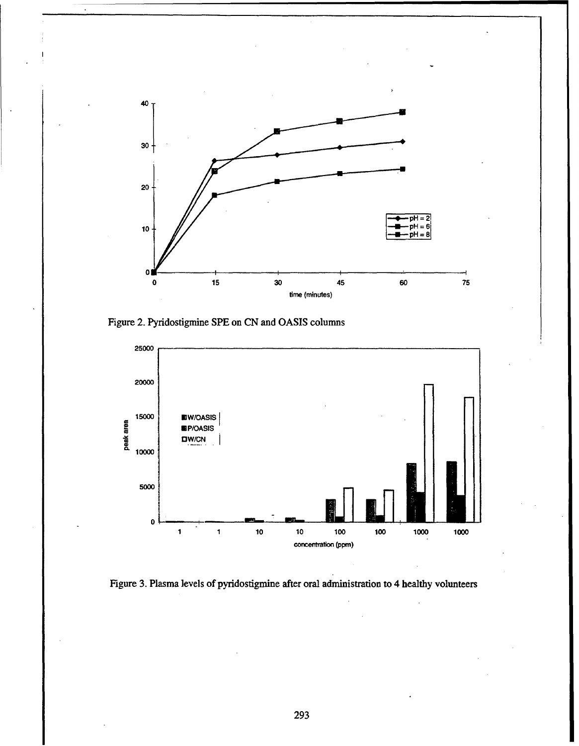

Figure 2. Pyridostigmine SPE on CN and OASIS columns



Figure 3. Plasma levels of pyridostigmine after oral administration to 4 healthy volunteers